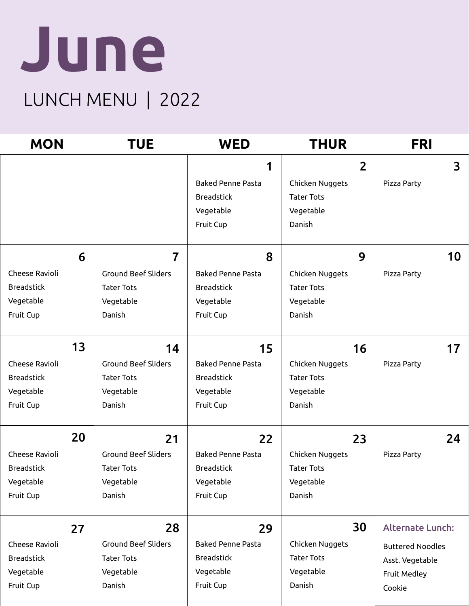

| <b>MON</b>                          |    | <b>TUE</b>                 | <b>WED</b>                                    | <b>THUR</b>                          |                | <b>FRI</b>                    |                         |
|-------------------------------------|----|----------------------------|-----------------------------------------------|--------------------------------------|----------------|-------------------------------|-------------------------|
|                                     |    |                            | 1                                             |                                      | $\overline{2}$ |                               | $\overline{\mathbf{3}}$ |
|                                     |    |                            | <b>Baked Penne Pasta</b>                      | Chicken Nuggets                      |                | Pizza Party                   |                         |
|                                     |    |                            | <b>Breadstick</b>                             | <b>Tater Tots</b>                    |                |                               |                         |
|                                     |    |                            | Vegetable                                     | Vegetable                            |                |                               |                         |
|                                     |    |                            | Fruit Cup                                     | Danish                               |                |                               |                         |
|                                     |    |                            |                                               |                                      |                |                               |                         |
|                                     | 6  | $\overline{7}$             | 8                                             |                                      | 9              |                               | 10                      |
| Cheese Ravioli                      |    | <b>Ground Beef Sliders</b> | <b>Baked Penne Pasta</b>                      | Chicken Nuggets                      |                | Pizza Party                   |                         |
| <b>Breadstick</b>                   |    | <b>Tater Tots</b>          | <b>Breadstick</b>                             | <b>Tater Tots</b>                    |                |                               |                         |
| Vegetable                           |    | Vegetable                  | Vegetable                                     | Vegetable                            |                |                               |                         |
| Fruit Cup                           |    | Danish                     | Fruit Cup                                     | Danish                               |                |                               |                         |
|                                     |    |                            |                                               |                                      |                |                               |                         |
|                                     | 13 | 14                         | 15                                            |                                      | 16             |                               | 17                      |
| Cheese Ravioli                      |    | <b>Ground Beef Sliders</b> | <b>Baked Penne Pasta</b>                      | Chicken Nuggets                      |                | Pizza Party                   |                         |
| <b>Breadstick</b>                   |    | <b>Tater Tots</b>          | <b>Breadstick</b>                             | <b>Tater Tots</b>                    |                |                               |                         |
| Vegetable                           |    | Vegetable                  | Vegetable                                     | Vegetable                            |                |                               |                         |
| Fruit Cup                           |    | Danish                     | Fruit Cup                                     | Danish                               |                |                               |                         |
|                                     |    |                            |                                               |                                      |                |                               |                         |
|                                     | 20 | 21                         | 22                                            |                                      | 23             |                               | 24                      |
| Cheese Ravioli                      |    | <b>Ground Beef Sliders</b> | <b>Baked Penne Pasta</b>                      | Chicken Nuggets                      |                | Pizza Party                   |                         |
| <b>Breadstick</b>                   |    | <b>Tater Tots</b>          | <b>Breadstick</b>                             | <b>Tater Tots</b>                    |                |                               |                         |
| Vegetable                           |    | Vegetable                  | Vegetable                                     | Vegetable                            |                |                               |                         |
| Fruit Cup                           |    | Danish                     | Fruit Cup                                     | Danish                               |                |                               |                         |
|                                     | 27 | 28                         | 29                                            |                                      | 30             | Alternate Lunch:              |                         |
|                                     |    | <b>Ground Beef Sliders</b> |                                               |                                      |                |                               |                         |
| Cheese Ravioli<br><b>Breadstick</b> |    | <b>Tater Tots</b>          | <b>Baked Penne Pasta</b><br><b>Breadstick</b> | Chicken Nuggets<br><b>Tater Tots</b> |                | <b>Buttered Noodles</b>       |                         |
| Vegetable                           |    | Vegetable                  | Vegetable                                     | Vegetable                            |                | Asst. Vegetable               |                         |
| Fruit Cup                           |    | Danish                     | Fruit Cup                                     | Danish                               |                | <b>Fruit Medley</b><br>Cookie |                         |
|                                     |    |                            |                                               |                                      |                |                               |                         |

Cookie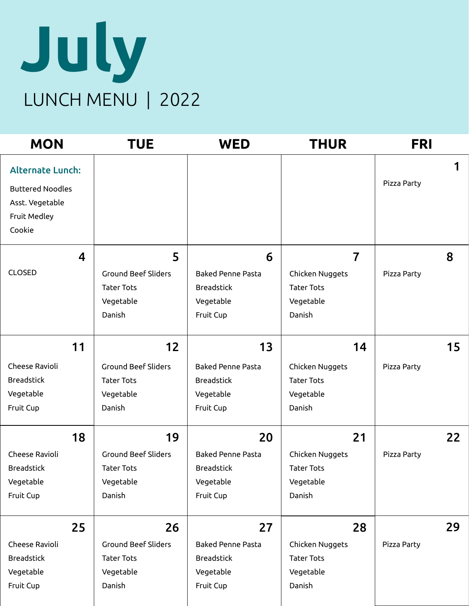

| <b>MON</b>                                                                                      | <b>TUE</b>                                                                   | <b>WED</b>                                                                    | <b>THUR</b>                                                                   | <b>FRI</b>        |
|-------------------------------------------------------------------------------------------------|------------------------------------------------------------------------------|-------------------------------------------------------------------------------|-------------------------------------------------------------------------------|-------------------|
| <b>Alternate Lunch:</b><br><b>Buttered Noodles</b><br>Asst. Vegetable<br>Fruit Medley<br>Cookie |                                                                              |                                                                               |                                                                               | 1<br>Pizza Party  |
| $\overline{\mathbf{4}}$<br><b>CLOSED</b>                                                        | 5<br><b>Ground Beef Sliders</b><br><b>Tater Tots</b><br>Vegetable<br>Danish  | 6<br><b>Baked Penne Pasta</b><br><b>Breadstick</b><br>Vegetable<br>Fruit Cup  | $\overline{7}$<br>Chicken Nuggets<br><b>Tater Tots</b><br>Vegetable<br>Danish | 8<br>Pizza Party  |
| 11<br>Cheese Ravioli<br><b>Breadstick</b><br>Vegetable<br>Fruit Cup                             | 12<br><b>Ground Beef Sliders</b><br><b>Tater Tots</b><br>Vegetable<br>Danish | 13<br><b>Baked Penne Pasta</b><br><b>Breadstick</b><br>Vegetable<br>Fruit Cup | 14<br>Chicken Nuggets<br><b>Tater Tots</b><br>Vegetable<br>Danish             | 15<br>Pizza Party |
| 18<br>Cheese Ravioli<br><b>Breadstick</b><br>Vegetable<br>Fruit Cup                             | 19<br><b>Ground Beef Sliders</b><br><b>Tater Tots</b><br>Vegetable<br>Danish | 20<br><b>Baked Penne Pasta</b><br><b>Breadstick</b><br>Vegetable<br>Fruit Cup | 21<br>Chicken Nuggets<br><b>Tater Tots</b><br>Vegetable<br>Danish             | 22<br>Pizza Party |
| 25<br>Cheese Ravioli<br><b>Breadstick</b><br>Vegetable<br>Fruit Cup                             | 26<br><b>Ground Beef Sliders</b><br><b>Tater Tots</b><br>Vegetable<br>Danish | 27<br><b>Baked Penne Pasta</b><br><b>Breadstick</b><br>Vegetable<br>Fruit Cup | 28<br>Chicken Nuggets<br><b>Tater Tots</b><br>Vegetable<br>Danish             | 29<br>Pizza Party |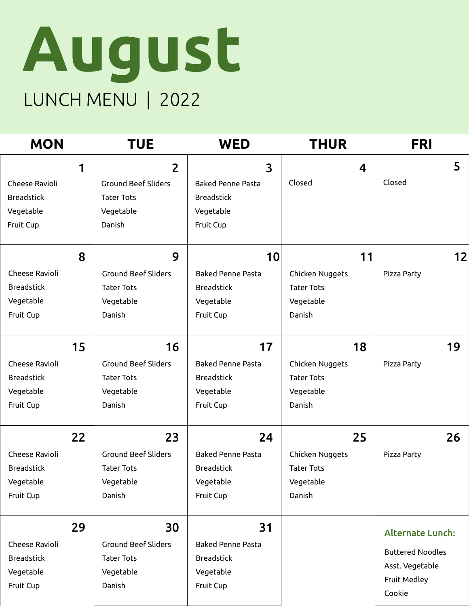

| <b>MON</b>        |    | <b>TUE</b>                 | <b>WED</b>               | <b>THUR</b>       | <b>FRI</b>              |
|-------------------|----|----------------------------|--------------------------|-------------------|-------------------------|
|                   | 1  | $\overline{2}$             | $\overline{\mathbf{3}}$  | $\boldsymbol{4}$  | 5                       |
| Cheese Ravioli    |    | <b>Ground Beef Sliders</b> | <b>Baked Penne Pasta</b> | Closed            | Closed                  |
| <b>Breadstick</b> |    | <b>Tater Tots</b>          | <b>Breadstick</b>        |                   |                         |
| Vegetable         |    | Vegetable                  | Vegetable                |                   |                         |
| Fruit Cup         |    | Danish                     | Fruit Cup                |                   |                         |
|                   |    |                            |                          |                   |                         |
|                   | 8  | 9                          | 10 <sup>1</sup>          | 11                | 12                      |
| Cheese Ravioli    |    | <b>Ground Beef Sliders</b> | <b>Baked Penne Pasta</b> | Chicken Nuggets   | Pizza Party             |
| <b>Breadstick</b> |    | <b>Tater Tots</b>          | <b>Breadstick</b>        | <b>Tater Tots</b> |                         |
| Vegetable         |    | Vegetable                  | Vegetable                | Vegetable         |                         |
| Fruit Cup         |    | Danish                     | Fruit Cup                | Danish            |                         |
|                   |    |                            |                          |                   |                         |
|                   | 15 | 16                         | 17                       | 18                | 19                      |
| Cheese Ravioli    |    | <b>Ground Beef Sliders</b> | <b>Baked Penne Pasta</b> | Chicken Nuggets   | Pizza Party             |
| <b>Breadstick</b> |    | <b>Tater Tots</b>          | <b>Breadstick</b>        | <b>Tater Tots</b> |                         |
| Vegetable         |    | Vegetable                  | Vegetable                | Vegetable         |                         |
| Fruit Cup         |    | Danish                     | Fruit Cup                | Danish            |                         |
|                   |    |                            |                          |                   |                         |
|                   | 22 | 23                         | 24                       | 25                | 26                      |
| Cheese Ravioli    |    | <b>Ground Beef Sliders</b> | <b>Baked Penne Pasta</b> | Chicken Nuggets   | Pizza Party             |
| <b>Breadstick</b> |    | <b>Tater Tots</b>          | <b>Breadstick</b>        | <b>Tater Tots</b> |                         |
| Vegetable         |    | Vegetable                  | Vegetable                | Vegetable         |                         |
| Fruit Cup         |    | Danish                     | Fruit Cup                | Danish            |                         |
|                   |    |                            |                          |                   |                         |
|                   | 29 | 30                         | 31                       |                   | Alternate Lunch:        |
| Cheese Ravioli    |    | <b>Ground Beef Sliders</b> | <b>Baked Penne Pasta</b> |                   | <b>Buttered Noodles</b> |
| <b>Breadstick</b> |    | <b>Tater Tots</b>          | <b>Breadstick</b>        |                   | Asst. Vegetable         |
| Vegetable         |    | Vegetable                  | Vegetable                |                   | <b>Fruit Medley</b>     |
| Fruit Cup         |    | Danish                     | Fruit Cup                |                   | Cookie                  |
|                   |    |                            |                          |                   |                         |